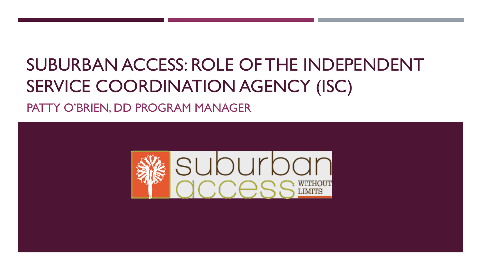# SUBURBAN ACCESS: ROLE OF THE INDEPENDENT SERVICE COORDINATION AGENCY (ISC)

PATTY O'BRIEN, DD PROGRAM MANAGER

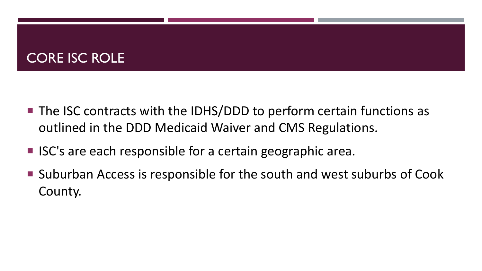## CORE ISC ROLE

- $\blacksquare$  The ISC contracts with the IDHS/DDD to perform certain functions as outlined in the DDD Medicaid Waiver and CMS Regulations.
- ISC's are each responsible for a certain geographic area.
- Suburban Access is responsible for the south and west suburbs of Cook County.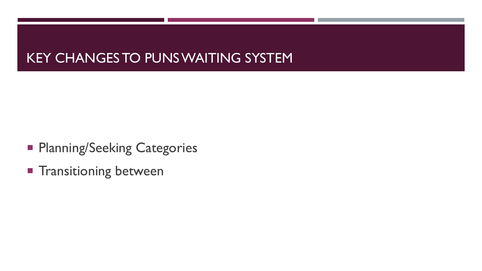#### KEY CHANGES TO PUNS WAITING SYSTEM

- **Planning/Seeking Categories**
- **Transitioning between**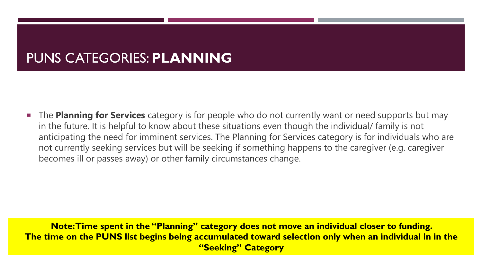## PUNS CATEGORIES: **PLANNING**

**The Planning for Services** category is for people who do not currently want or need supports but may in the future. It is helpful to know about these situations even though the individual/ family is not anticipating the need for imminent services. The Planning for Services category is for individuals who are not currently seeking services but will be seeking if something happens to the caregiver (e.g. caregiver becomes ill or passes away) or other family circumstances change.

**Note: Time spent in the "Planning" category does not move an individual closer to funding. The time on the PUNS list begins being accumulated toward selection only when an individual in in the "Seeking" Category**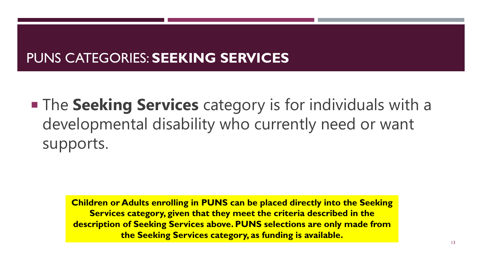## PUNS CATEGORIES: **SEEKING SERVICES**

**The Seeking Services** category is for individuals with a developmental disability who currently need or want supports.

> **Children or Adults enrolling in PUNS can be placed directly into the Seeking Services category, given that they meet the criteria described in the description of Seeking Services above. PUNS selections are only made from the Seeking Services category, as funding is available.**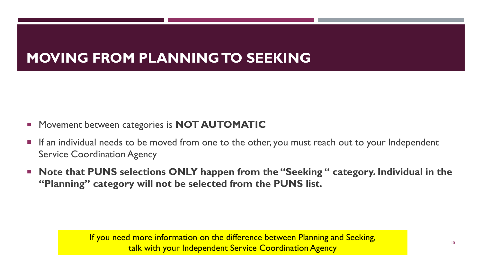## **MOVING FROM PLANNING TO SEEKING**

- **EXPLORENT MOT MOT AUTOMATIC**
- **If an individual needs to be moved from one to the other, you must reach out to your Independent** Service Coordination Agency
- **Note that PUNS selections ONLY happen from the "Seeking " category. Individual in the "Planning" category will not be selected from the PUNS list.**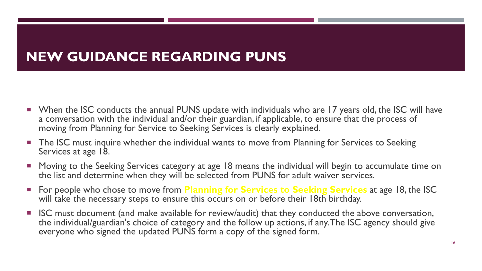## **NEW GUIDANCE REGARDING PUNS**

- When the ISC conducts the annual PUNS update with individuals who are 17 years old, the ISC will have a conversation with the individual and/or their guardian, if applicable, to ensure that the process of moving from Planning for Service to Seeking Services is clearly explained.
- **The ISC must inquire whether the individual wants to move from Planning for Services to Seeking** Services at age 18.
- Moving to the Seeking Services category at age 18 means the individual will begin to accumulate time on the list and determine when they will be selected from PUNS for adult waiver services.
- For people who chose to move from **Planning for Services to Seeking Services** at age 18, the ISC will take the necessary steps to ensure this occurs on or before their 18th birthday.
- **ISC** must document (and make available for review/audit) that they conducted the above conversation, the individual/guardian's choice of category and the follow up actions, if any. The ISC agency should give everyone who signed the updated PUNS form a copy of the signed form.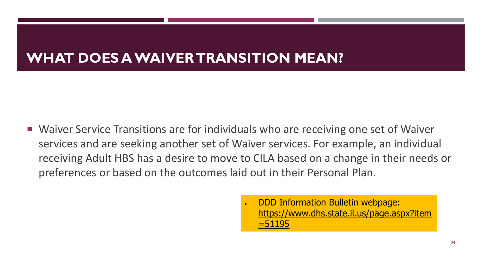## **WHAT DOES A WAIVER TRANSITION MEAN?**

- Waiver Service Transitions are for individuals who are receiving one set of Waiver services and are seeking another set of Waiver services. For example, an individual receiving Adult HBS has a desire to move to CILA based on a change in their needs or preferences or based on the outcomes laid out in their Personal Plan.
	- DDD Information Bulletin webpage: [https://www.dhs.state.il.us/page.aspx?item](https://www.dhs.state.il.us/page.aspx?item=51195) =51195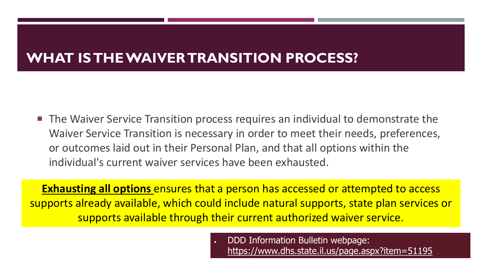## **WHAT IS THE WAIVER TRANSITION PROCESS?**

■ The Waiver Service Transition process requires an individual to demonstrate the Waiver Service Transition is necessary in order to meet their needs, preferences, or outcomes laid out in their Personal Plan, and that all options within the individual's current waiver services have been exhausted.

**Exhausting all options** ensures that a person has accessed or attempted to access supports already available, which could include natural supports, state plan services or supports available through their current authorized waiver service.

> • DDD Information Bulletin webpage: <https://www.dhs.state.il.us/page.aspx?item=51195>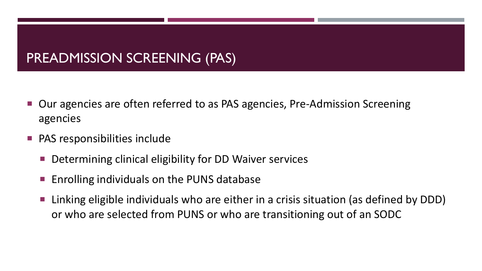#### PREADMISSION SCREENING (PAS)

- Our agencies are often referred to as PAS agencies, Pre-Admission Screening agencies
- PAS responsibilities include
	- Determining clinical eligibility for DD Waiver services
	- Enrolling individuals on the PUNS database
	- Linking eligible individuals who are either in a crisis situation (as defined by DDD) or who are selected from PUNS or who are transitioning out of an SODC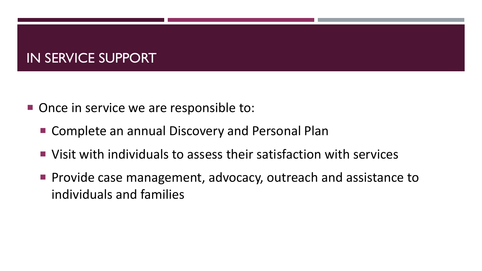#### IN SERVICE SUPPORT

- Once in service we are responsible to:
	- Complete an annual Discovery and Personal Plan
	- Visit with individuals to assess their satisfaction with services
	- **Provide case management, advocacy, outreach and assistance to** individuals and families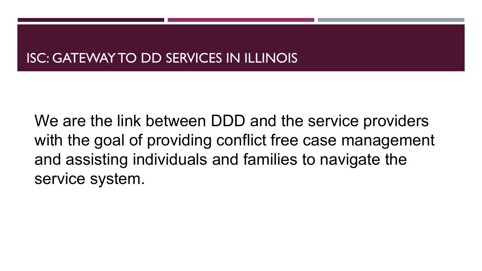### ISC: GATEWAY TO DD SERVICES IN ILLINOIS

We are the link between DDD and the service providers with the goal of providing conflict free case management and assisting individuals and families to navigate the service system.